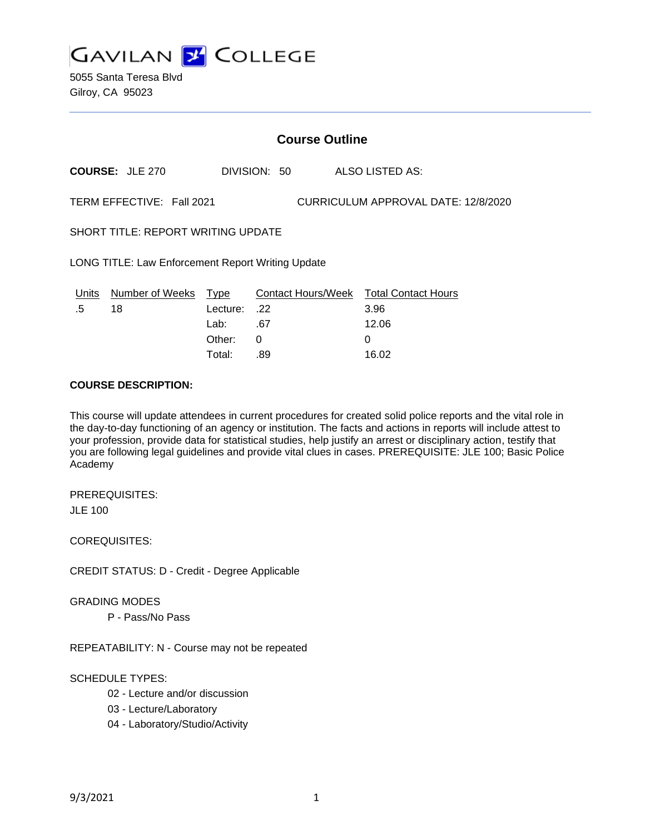

5055 Santa Teresa Blvd Gilroy, CA 95023

# **Course Outline**

**COURSE:** JLE 270 DIVISION: 50 ALSO LISTED AS:

TERM EFFECTIVE: Fall 2021 CURRICULUM APPROVAL DATE: 12/8/2020

SHORT TITLE: REPORT WRITING UPDATE

LONG TITLE: Law Enforcement Report Writing Update

| Units  | Number of Weeks Type |              | Contact Hours/Week Total Contact Hours |       |
|--------|----------------------|--------------|----------------------------------------|-------|
| $.5\,$ | 18                   | 22. :Lecture |                                        | 3.96  |
|        |                      | Lab:         | .67                                    | 12.06 |
|        |                      | Other:       |                                        |       |
|        |                      | Total:       | .89                                    | 16.02 |

## **COURSE DESCRIPTION:**

This course will update attendees in current procedures for created solid police reports and the vital role in the day-to-day functioning of an agency or institution. The facts and actions in reports will include attest to your profession, provide data for statistical studies, help justify an arrest or disciplinary action, testify that you are following legal guidelines and provide vital clues in cases. PREREQUISITE: JLE 100; Basic Police Academy

PREREQUISITES: JLE 100

COREQUISITES:

CREDIT STATUS: D - Credit - Degree Applicable

GRADING MODES

P - Pass/No Pass

REPEATABILITY: N - Course may not be repeated

SCHEDULE TYPES:

- 02 Lecture and/or discussion
- 03 Lecture/Laboratory
- 04 Laboratory/Studio/Activity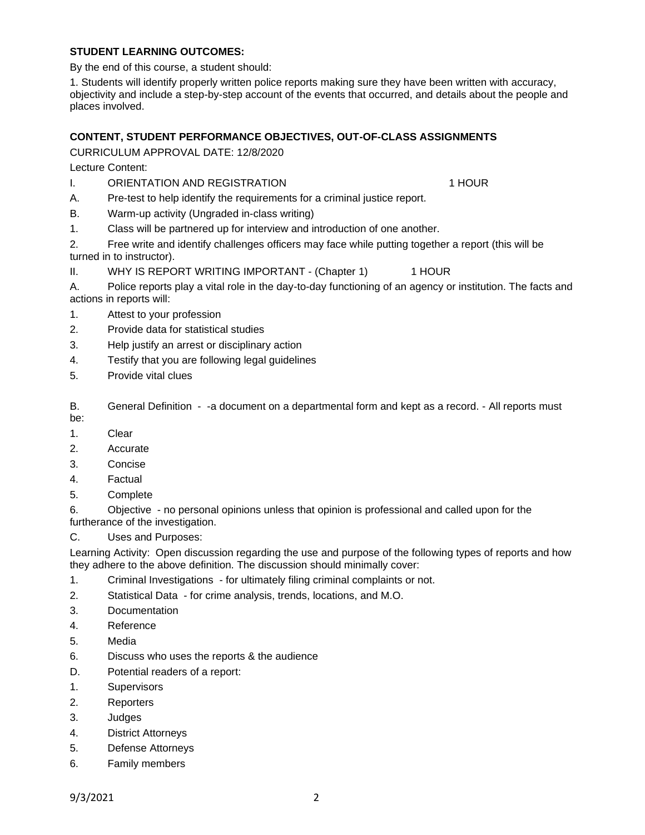# **STUDENT LEARNING OUTCOMES:**

By the end of this course, a student should:

1. Students will identify properly written police reports making sure they have been written with accuracy, objectivity and include a step-by-step account of the events that occurred, and details about the people and places involved.

# **CONTENT, STUDENT PERFORMANCE OBJECTIVES, OUT-OF-CLASS ASSIGNMENTS**

CURRICULUM APPROVAL DATE: 12/8/2020

Lecture Content:

I. ORIENTATION AND REGISTRATION 1 1 HOUR

- A. Pre-test to help identify the requirements for a criminal justice report.
- B. Warm-up activity (Ungraded in-class writing)
- 1. Class will be partnered up for interview and introduction of one another.

2. Free write and identify challenges officers may face while putting together a report (this will be turned in to instructor).

II. WHY IS REPORT WRITING IMPORTANT - (Chapter 1) 1 HOUR

A. Police reports play a vital role in the day-to-day functioning of an agency or institution. The facts and actions in reports will:

- 1. Attest to your profession
- 2. Provide data for statistical studies
- 3. Help justify an arrest or disciplinary action
- 4. Testify that you are following legal guidelines
- 5. Provide vital clues

B. General Definition - -a document on a departmental form and kept as a record. - All reports must be:

- 1. Clear
- 2. Accurate
- 3. Concise
- 4. Factual
- 5. Complete

6. Objective - no personal opinions unless that opinion is professional and called upon for the furtherance of the investigation.

C. Uses and Purposes:

Learning Activity: Open discussion regarding the use and purpose of the following types of reports and how they adhere to the above definition. The discussion should minimally cover:

- 1. Criminal Investigations for ultimately filing criminal complaints or not.
- 2. Statistical Data for crime analysis, trends, locations, and M.O.
- 3. Documentation
- 4. Reference
- 5. Media
- 6. Discuss who uses the reports & the audience
- D. Potential readers of a report:
- 1. Supervisors
- 2. Reporters
- 3. Judges
- 4. District Attorneys
- 5. Defense Attorneys
- 6. Family members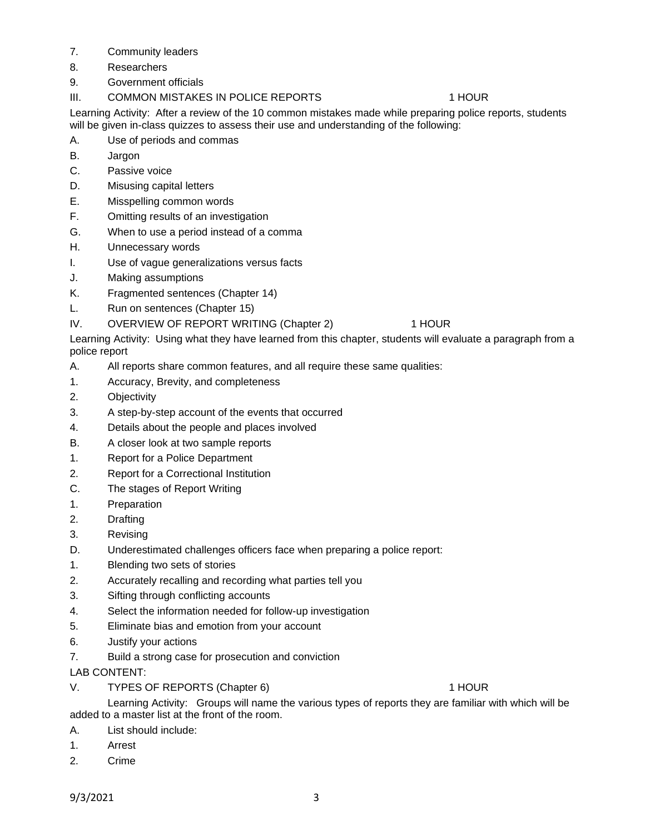- 7. Community leaders
- 8. Researchers
- 9. Government officials
- III. COMMON MISTAKES IN POLICE REPORTS 1 HOUR

Learning Activity: After a review of the 10 common mistakes made while preparing police reports, students will be given in-class quizzes to assess their use and understanding of the following:

- A. Use of periods and commas
- B. Jargon
- C. Passive voice
- D. Misusing capital letters
- E. Misspelling common words
- F. Omitting results of an investigation
- G. When to use a period instead of a comma
- H. Unnecessary words
- I. Use of vague generalizations versus facts
- J. Making assumptions
- K. Fragmented sentences (Chapter 14)
- L. Run on sentences (Chapter 15)

# IV. OVERVIEW OF REPORT WRITING (Chapter 2) 1 HOUR

Learning Activity: Using what they have learned from this chapter, students will evaluate a paragraph from a police report

- A. All reports share common features, and all require these same qualities:
- 1. Accuracy, Brevity, and completeness
- 2. Objectivity
- 3. A step-by-step account of the events that occurred
- 4. Details about the people and places involved
- B. A closer look at two sample reports
- 1. Report for a Police Department
- 2. Report for a Correctional Institution
- C. The stages of Report Writing
- 1. Preparation
- 2. Drafting
- 3. Revising
- D. Underestimated challenges officers face when preparing a police report:
- 1. Blending two sets of stories
- 2. Accurately recalling and recording what parties tell you
- 3. Sifting through conflicting accounts
- 4. Select the information needed for follow-up investigation
- 5. Eliminate bias and emotion from your account
- 6. Justify your actions
- 7. Build a strong case for prosecution and conviction

LAB CONTENT:

V. TYPES OF REPORTS (Chapter 6) 1 HOUR

Learning Activity: Groups will name the various types of reports they are familiar with which will be added to a master list at the front of the room.

- A. List should include:
- 1. Arrest
- 2. Crime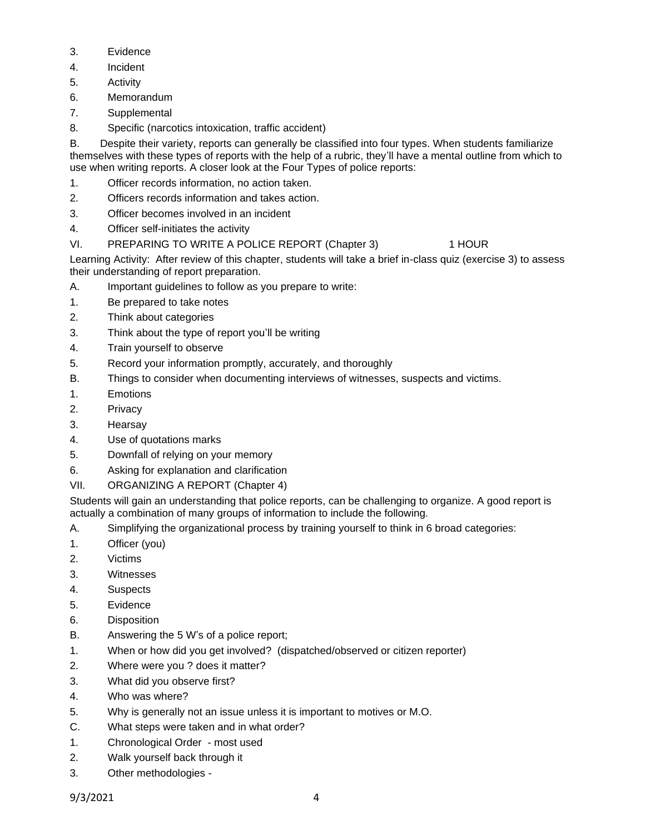- 3. Evidence
- 4. Incident
- 5. Activity
- 6. Memorandum
- 7. Supplemental
- 8. Specific (narcotics intoxication, traffic accident)

B. Despite their variety, reports can generally be classified into four types. When students familiarize themselves with these types of reports with the help of a rubric, they'll have a mental outline from which to use when writing reports. A closer look at the Four Types of police reports:

- 1. Officer records information, no action taken.
- 2. Officers records information and takes action.
- 3. Officer becomes involved in an incident
- 4. Officer self-initiates the activity
- VI. PREPARING TO WRITE A POLICE REPORT (Chapter 3) 1 HOUR

Learning Activity: After review of this chapter, students will take a brief in-class quiz (exercise 3) to assess their understanding of report preparation.

- A. Important guidelines to follow as you prepare to write:
- 1. Be prepared to take notes
- 2. Think about categories
- 3. Think about the type of report you'll be writing
- 4. Train yourself to observe
- 5. Record your information promptly, accurately, and thoroughly
- B. Things to consider when documenting interviews of witnesses, suspects and victims.
- 1. Emotions
- 2. Privacy
- 3. Hearsay
- 4. Use of quotations marks
- 5. Downfall of relying on your memory
- 6. Asking for explanation and clarification
- VII. ORGANIZING A REPORT (Chapter 4)

Students will gain an understanding that police reports, can be challenging to organize. A good report is actually a combination of many groups of information to include the following.

- A. Simplifying the organizational process by training yourself to think in 6 broad categories:
- 1. Officer (you)
- 2. Victims
- 3. Witnesses
- 4. Suspects
- 5. Evidence
- 6. Disposition
- B. Answering the 5 W's of a police report;
- 1. When or how did you get involved? (dispatched/observed or citizen reporter)
- 2. Where were you ? does it matter?
- 3. What did you observe first?
- 4. Who was where?
- 5. Why is generally not an issue unless it is important to motives or M.O.
- C. What steps were taken and in what order?
- 1. Chronological Order most used
- 2. Walk yourself back through it
- 3. Other methodologies -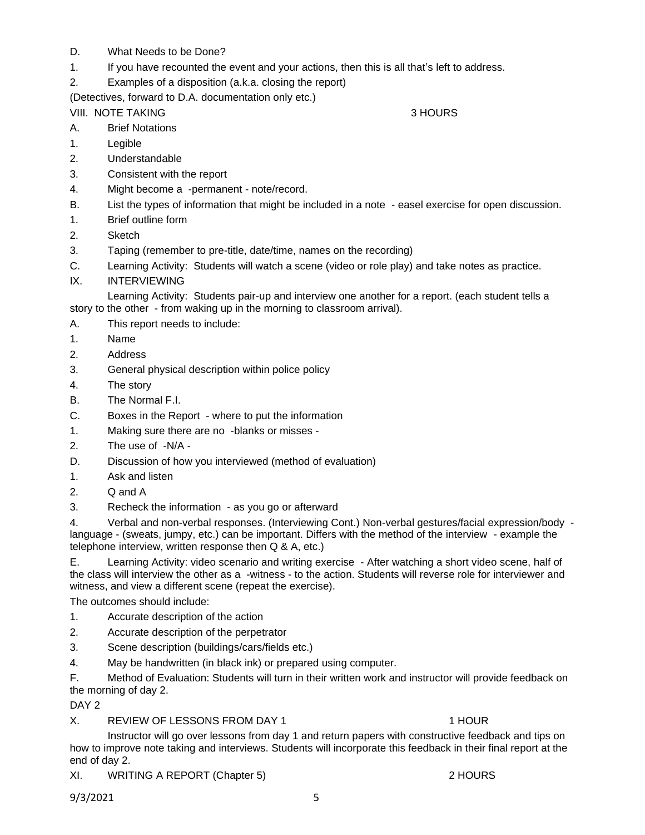- D. What Needs to be Done?
- 1. If you have recounted the event and your actions, then this is all that's left to address.
- 2. Examples of a disposition (a.k.a. closing the report)

(Detectives, forward to D.A. documentation only etc.)

# VIII. NOTE TAKING **3 HOURS**

- A. Brief Notations
- 1. Legible
- 2. Understandable
- 3. Consistent with the report
- 4. Might become a -permanent note/record.
- B. List the types of information that might be included in a note easel exercise for open discussion.
- 1. Brief outline form
- 2. Sketch
- 3. Taping (remember to pre-title, date/time, names on the recording)
- C. Learning Activity: Students will watch a scene (video or role play) and take notes as practice.
- IX. INTERVIEWING

Learning Activity: Students pair-up and interview one another for a report. (each student tells a story to the other - from waking up in the morning to classroom arrival).

- A. This report needs to include:
- 1. Name
- 2. Address
- 3. General physical description within police policy
- 4. The story
- B. The Normal F.I.
- C. Boxes in the Report where to put the information
- 1. Making sure there are no -blanks or misses -
- 2. The use of -N/A -
- D. Discussion of how you interviewed (method of evaluation)
- 1. Ask and listen
- 2. Q and A
- 3. Recheck the information as you go or afterward

4. Verbal and non-verbal responses. (Interviewing Cont.) Non-verbal gestures/facial expression/body language - (sweats, jumpy, etc.) can be important. Differs with the method of the interview - example the telephone interview, written response then Q & A, etc.)

E. Learning Activity: video scenario and writing exercise - After watching a short video scene, half of the class will interview the other as a -witness - to the action. Students will reverse role for interviewer and witness, and view a different scene (repeat the exercise).

The outcomes should include:

- 1. Accurate description of the action
- 2. Accurate description of the perpetrator
- 3. Scene description (buildings/cars/fields etc.)
- 4. May be handwritten (in black ink) or prepared using computer.

F. Method of Evaluation: Students will turn in their written work and instructor will provide feedback on the morning of day 2.

DAY<sub>2</sub>

X. REVIEW OF LESSONS FROM DAY 1 1 HOUR

Instructor will go over lessons from day 1 and return papers with constructive feedback and tips on how to improve note taking and interviews. Students will incorporate this feedback in their final report at the end of day 2.

XI. WRITING A REPORT (Chapter 5) 2 HOURS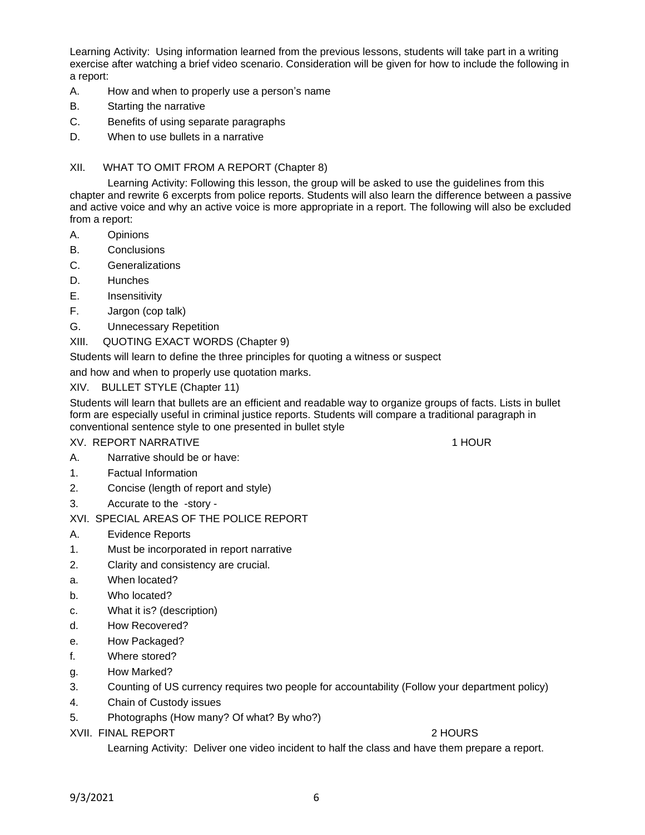Learning Activity: Using information learned from the previous lessons, students will take part in a writing exercise after watching a brief video scenario. Consideration will be given for how to include the following in a report:

- A. How and when to properly use a person's name
- B. Starting the narrative
- C. Benefits of using separate paragraphs
- D. When to use bullets in a narrative

#### XII. WHAT TO OMIT FROM A REPORT (Chapter 8)

Learning Activity: Following this lesson, the group will be asked to use the guidelines from this chapter and rewrite 6 excerpts from police reports. Students will also learn the difference between a passive and active voice and why an active voice is more appropriate in a report. The following will also be excluded from a report:

- A. Opinions
- B. Conclusions
- C. Generalizations
- D. Hunches
- E. Insensitivity
- F. Jargon (cop talk)
- G. Unnecessary Repetition
- XIII. QUOTING EXACT WORDS (Chapter 9)

Students will learn to define the three principles for quoting a witness or suspect

and how and when to properly use quotation marks.

### XIV. BULLET STYLE (Chapter 11)

Students will learn that bullets are an efficient and readable way to organize groups of facts. Lists in bullet form are especially useful in criminal justice reports. Students will compare a traditional paragraph in conventional sentence style to one presented in bullet style

# XV. REPORT NARRATIVE **1 HOUR 1 HOUR**

- A. Narrative should be or have:
- 1. Factual Information
- 2. Concise (length of report and style)
- 3. Accurate to the -story -

#### XVI. SPECIAL AREAS OF THE POLICE REPORT

- A. Evidence Reports
- 1. Must be incorporated in report narrative
- 2. Clarity and consistency are crucial.
- a. When located?
- b. Who located?
- c. What it is? (description)
- d. How Recovered?
- e. How Packaged?
- f. Where stored?
- g. How Marked?
- 3. Counting of US currency requires two people for accountability (Follow your department policy)
- 4. Chain of Custody issues
- 5. Photographs (How many? Of what? By who?)

#### XVII. FINAL REPORT 2 HOURS

Learning Activity: Deliver one video incident to half the class and have them prepare a report.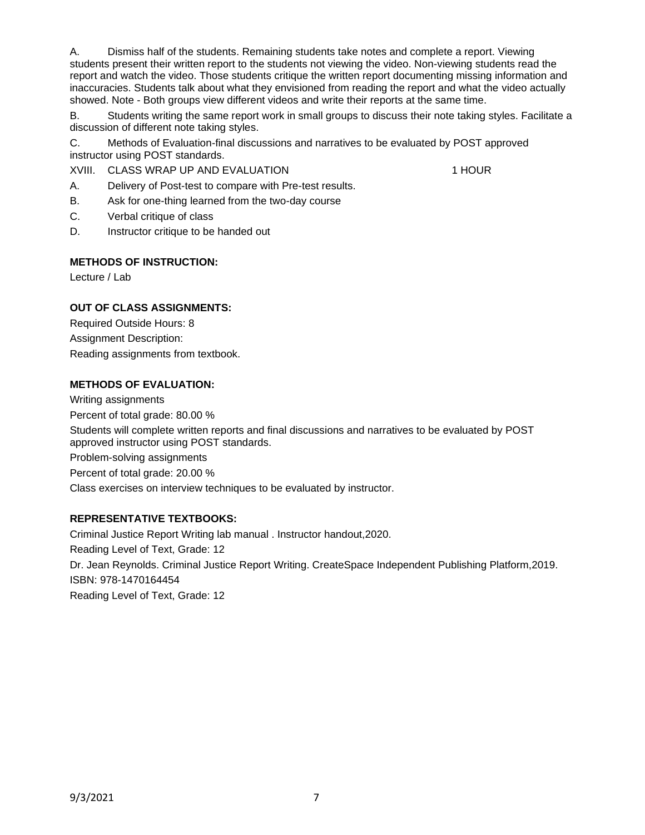A. Dismiss half of the students. Remaining students take notes and complete a report. Viewing students present their written report to the students not viewing the video. Non-viewing students read the report and watch the video. Those students critique the written report documenting missing information and inaccuracies. Students talk about what they envisioned from reading the report and what the video actually showed. Note - Both groups view different videos and write their reports at the same time.

B. Students writing the same report work in small groups to discuss their note taking styles. Facilitate a discussion of different note taking styles.

C. Methods of Evaluation-final discussions and narratives to be evaluated by POST approved instructor using POST standards.

XVIII. CLASS WRAP UP AND EVALUATION 1 1 HOUR

A. Delivery of Post-test to compare with Pre-test results.

- B. Ask for one-thing learned from the two-day course
- C. Verbal critique of class
- D. Instructor critique to be handed out

### **METHODS OF INSTRUCTION:**

Lecture / Lab

# **OUT OF CLASS ASSIGNMENTS:**

Required Outside Hours: 8 Assignment Description: Reading assignments from textbook.

### **METHODS OF EVALUATION:**

Writing assignments Percent of total grade: 80.00 % Students will complete written reports and final discussions and narratives to be evaluated by POST approved instructor using POST standards. Problem-solving assignments Percent of total grade: 20.00 % Class exercises on interview techniques to be evaluated by instructor.

# **REPRESENTATIVE TEXTBOOKS:**

Criminal Justice Report Writing lab manual . Instructor handout,2020. Reading Level of Text, Grade: 12 Dr. Jean Reynolds. Criminal Justice Report Writing. CreateSpace Independent Publishing Platform,2019. ISBN: 978-1470164454 Reading Level of Text, Grade: 12